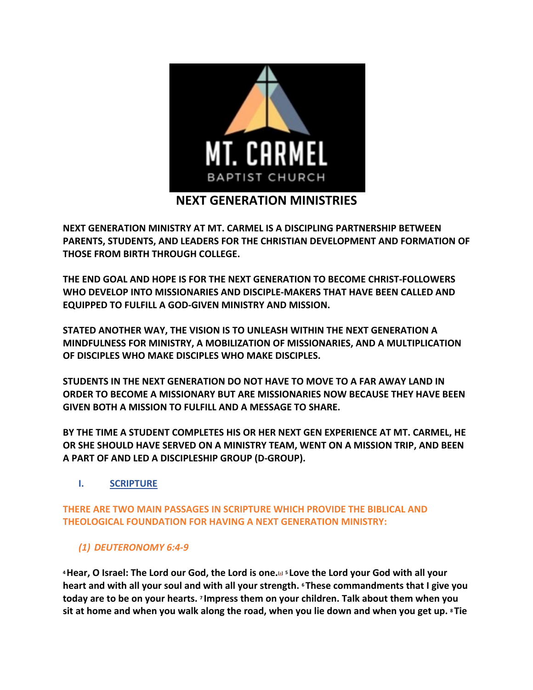

**NEXT GENERATION MINISTRY AT MT. CARMEL IS A DISCIPLING PARTNERSHIP BETWEEN PARENTS, STUDENTS, AND LEADERS FOR THE CHRISTIAN DEVELOPMENT AND FORMATION OF THOSE FROM BIRTH THROUGH COLLEGE.**

**THE END GOAL AND HOPE IS FOR THE NEXT GENERATION TO BECOME CHRIST-FOLLOWERS WHO DEVELOP INTO MISSIONARIES AND DISCIPLE-MAKERS THAT HAVE BEEN CALLED AND EQUIPPED TO FULFILL A GOD-GIVEN MINISTRY AND MISSION.**

**STATED ANOTHER WAY, THE VISION IS TO UNLEASH WITHIN THE NEXT GENERATION A MINDFULNESS FOR MINISTRY, A MOBILIZATION OF MISSIONARIES, AND A MULTIPLICATION OF DISCIPLES WHO MAKE DISCIPLES WHO MAKE DISCIPLES.**

**STUDENTS IN THE NEXT GENERATION DO NOT HAVE TO MOVE TO A FAR AWAY LAND IN ORDER TO BECOME A MISSIONARY BUT ARE MISSIONARIES NOW BECAUSE THEY HAVE BEEN GIVEN BOTH A MISSION TO FULFILL AND A MESSAGE TO SHARE.** 

**BY THE TIME A STUDENT COMPLETES HIS OR HER NEXT GEN EXPERIENCE AT MT. CARMEL, HE OR SHE SHOULD HAVE SERVED ON A MINISTRY TEAM, WENT ON A MISSION TRIP, AND BEEN A PART OF AND LED A DISCIPLESHIP GROUP (D-GROUP).**

**I. SCRIPTURE**

**THERE ARE TWO MAIN PASSAGES IN SCRIPTURE WHICH PROVIDE THE BIBLICAL AND THEOLOGICAL FOUNDATION FOR HAVING A NEXT GENERATION MINISTRY:**

# *(1) DEUTERONOMY 6:4-9*

**4Hear, O Israel: The Lord our God, the Lord is one.[a] <sup>5</sup> Love the Lord your God with all your heart and with all your soul and with all your strength. <sup>6</sup> These commandments that I give you today are to be on your hearts. <sup>7</sup> Impress them on your children. Talk about them when you sit at home and when you walk along the road, when you lie down and when you get up. <sup>8</sup> Tie**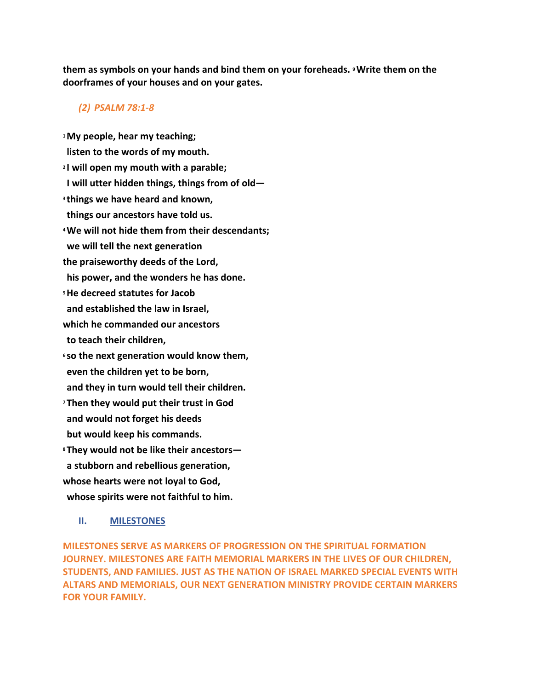**them as symbols on your hands and bind them on your foreheads. 9Write them on the doorframes of your houses and on your gates.**

## *(2) PSALM 78:1-8*

**1My people, hear my teaching; listen to the words of my mouth. <sup>2</sup> I will open my mouth with a parable; I will utter hidden things, things from of old— <sup>3</sup> things we have heard and known, things our ancestors have told us. 4We will not hide them from their descendants; we will tell the next generation the praiseworthy deeds of the Lord, his power, and the wonders he has done. 5He decreed statutes for Jacob and established the law in Israel, which he commanded our ancestors to teach their children, <sup>6</sup> so the next generation would know them, even the children yet to be born, and they in turn would tell their children. <sup>7</sup> Then they would put their trust in God and would not forget his deeds but would keep his commands. <sup>8</sup> They would not be like their ancestors a stubborn and rebellious generation, whose hearts were not loyal to God, whose spirits were not faithful to him.**

## **II. MILESTONES**

**MILESTONES SERVE AS MARKERS OF PROGRESSION ON THE SPIRITUAL FORMATION JOURNEY. MILESTONES ARE FAITH MEMORIAL MARKERS IN THE LIVES OF OUR CHILDREN, STUDENTS, AND FAMILIES. JUST AS THE NATION OF ISRAEL MARKED SPECIAL EVENTS WITH ALTARS AND MEMORIALS, OUR NEXT GENERATION MINISTRY PROVIDE CERTAIN MARKERS FOR YOUR FAMILY.**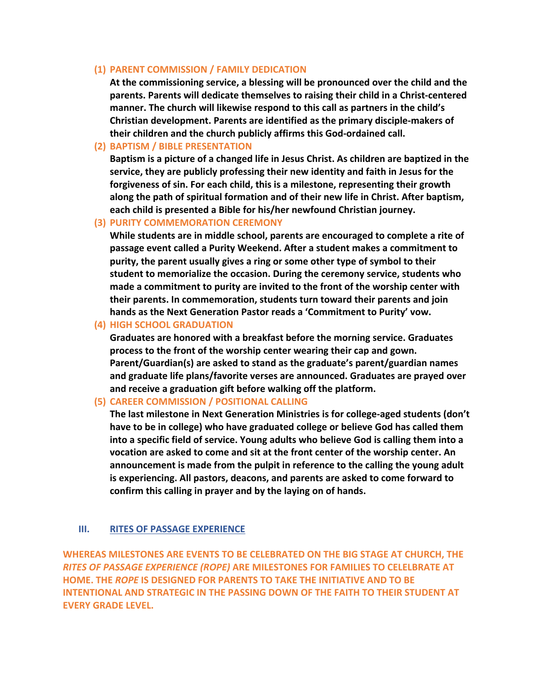## **(1) PARENT COMMISSION / FAMILY DEDICATION**

**At the commissioning service, a blessing will be pronounced over the child and the parents. Parents will dedicate themselves to raising their child in a Christ-centered manner. The church will likewise respond to this call as partners in the child's Christian development. Parents are identified as the primary disciple-makers of their children and the church publicly affirms this God-ordained call.**

## **(2) BAPTISM / BIBLE PRESENTATION**

**Baptism is a picture of a changed life in Jesus Christ. As children are baptized in the service, they are publicly professing their new identity and faith in Jesus for the forgiveness of sin. For each child, this is a milestone, representing their growth along the path of spiritual formation and of their new life in Christ. After baptism, each child is presented a Bible for his/her newfound Christian journey.**

#### **(3) PURITY COMMEMORATION CEREMONY**

**While students are in middle school, parents are encouraged to complete a rite of passage event called a Purity Weekend. After a student makes a commitment to purity, the parent usually gives a ring or some other type of symbol to their student to memorialize the occasion. During the ceremony service, students who made a commitment to purity are invited to the front of the worship center with their parents. In commemoration, students turn toward their parents and join hands as the Next Generation Pastor reads a 'Commitment to Purity' vow.**

**(4) HIGH SCHOOL GRADUATION**

**Graduates are honored with a breakfast before the morning service. Graduates process to the front of the worship center wearing their cap and gown. Parent/Guardian(s) are asked to stand as the graduate's parent/guardian names and graduate life plans/favorite verses are announced. Graduates are prayed over and receive a graduation gift before walking off the platform.**

**(5) CAREER COMMISSION / POSITIONAL CALLING**

**The last milestone in Next Generation Ministries is for college-aged students (don't have to be in college) who have graduated college or believe God has called them into a specific field of service. Young adults who believe God is calling them into a vocation are asked to come and sit at the front center of the worship center. An announcement is made from the pulpit in reference to the calling the young adult is experiencing. All pastors, deacons, and parents are asked to come forward to confirm this calling in prayer and by the laying on of hands.**

## **III. RITES OF PASSAGE EXPERIENCE**

**WHEREAS MILESTONES ARE EVENTS TO BE CELEBRATED ON THE BIG STAGE AT CHURCH, THE**  *RITES OF PASSAGE EXPERIENCE (ROPE)* **ARE MILESTONES FOR FAMILIES TO CELELBRATE AT HOME. THE** *ROPE* **IS DESIGNED FOR PARENTS TO TAKE THE INITIATIVE AND TO BE INTENTIONAL AND STRATEGIC IN THE PASSING DOWN OF THE FAITH TO THEIR STUDENT AT EVERY GRADE LEVEL.**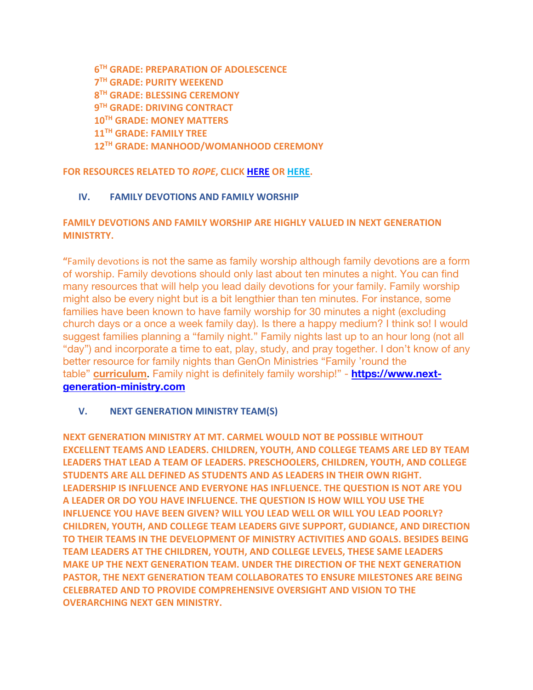**6TH GRADE: PREPARATION OF ADOLESCENCE 7TH GRADE: PURITY WEEKEND 8TH GRADE: BLESSING CEREMONY 9TH GRADE: DRIVING CONTRACT 10TH GRADE: MONEY MATTERS 11TH GRADE: FAMILY TREE 12TH GRADE: MANHOOD/WOMANHOOD CEREMONY**

**FOR RESOURCES RELATED TO** *ROPE***, CLICK HERE OR HERE.** 

# **IV. FAMILY DEVOTIONS AND FAMILY WORSHIP**

# **FAMILY DEVOTIONS AND FAMILY WORSHIP ARE HIGHLY VALUED IN NEXT GENERATION MINISTRTY.**

**"**Family devotions is not the same as family worship although family devotions are a form of worship. Family devotions should only last about ten minutes a night. You can find many resources that will help you lead daily devotions for your family. Family worship might also be every night but is a bit lengthier than ten minutes. For instance, some families have been known to have family worship for 30 minutes a night (excluding church days or a once a week family day). Is there a happy medium? I think so! I would suggest families planning a "family night." Family nights last up to an hour long (not all "day") and incorporate a time to eat, play, study, and pray together. I don't know of any better resource for family nights than GenOn Ministries "Family 'round the table" **curriculum**. Family night is definitely family worship!" - **https://www.nextgeneration-ministry.com**

# **V. NEXT GENERATION MINISTRY TEAM(S)**

**NEXT GENERATION MINISTRY AT MT. CARMEL WOULD NOT BE POSSIBLE WITHOUT EXCELLENT TEAMS AND LEADERS. CHILDREN, YOUTH, AND COLLEGE TEAMS ARE LED BY TEAM LEADERS THAT LEAD A TEAM OF LEADERS. PRESCHOOLERS, CHILDREN, YOUTH, AND COLLEGE STUDENTS ARE ALL DEFINED AS STUDENTS AND AS LEADERS IN THEIR OWN RIGHT. LEADERSHIP IS INFLUENCE AND EVERYONE HAS INFLUENCE. THE QUESTION IS NOT ARE YOU A LEADER OR DO YOU HAVE INFLUENCE. THE QUESTION IS HOW WILL YOU USE THE INFLUENCE YOU HAVE BEEN GIVEN? WILL YOU LEAD WELL OR WILL YOU LEAD POORLY? CHILDREN, YOUTH, AND COLLEGE TEAM LEADERS GIVE SUPPORT, GUDIANCE, AND DIRECTION TO THEIR TEAMS IN THE DEVELOPMENT OF MINISTRY ACTIVITIES AND GOALS. BESIDES BEING TEAM LEADERS AT THE CHILDREN, YOUTH, AND COLLEGE LEVELS, THESE SAME LEADERS MAKE UP THE NEXT GENERATION TEAM. UNDER THE DIRECTION OF THE NEXT GENERATION PASTOR, THE NEXT GENERATION TEAM COLLABORATES TO ENSURE MILESTONES ARE BEING CELEBRATED AND TO PROVIDE COMPREHENSIVE OVERSIGHT AND VISION TO THE OVERARCHING NEXT GEN MINISTRY.**